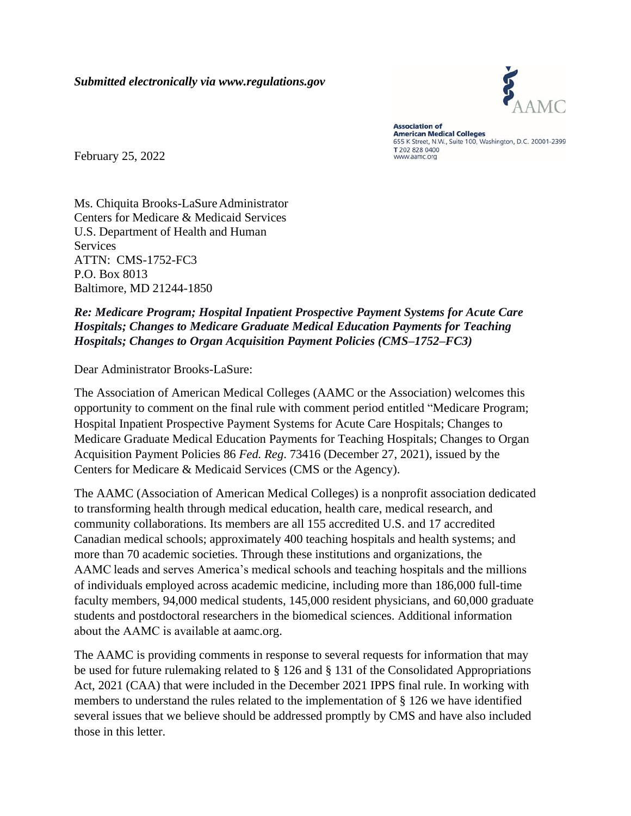

**Association of American Medical Colleges** 655 K Street, N.W., Suite 100, Washington, D.C. 20001-2399 T 202 828 0400 www.aamc.org

February 25, 2022

Ms. Chiquita Brooks-LaSure Administrator Centers for Medicare & Medicaid Services U.S. Department of Health and Human **Services** ATTN: CMS-1752-FC3 P.O. Box 8013 Baltimore, MD 21244-1850

#### *Re: Medicare Program; Hospital Inpatient Prospective Payment Systems for Acute Care Hospitals; Changes to Medicare Graduate Medical Education Payments for Teaching Hospitals; Changes to Organ Acquisition Payment Policies (CMS–1752–FC3)*

Dear Administrator Brooks-LaSure:

The Association of American Medical Colleges (AAMC or the Association) welcomes this opportunity to comment on the final rule with comment period entitled "Medicare Program; Hospital Inpatient Prospective Payment Systems for Acute Care Hospitals; Changes to Medicare Graduate Medical Education Payments for Teaching Hospitals; Changes to Organ Acquisition Payment Policies 86 *Fed. Reg*. 73416 (December 27, 2021), issued by the Centers for Medicare & Medicaid Services (CMS or the Agency).

The AAMC (Association of American Medical Colleges) is a nonprofit association dedicated to transforming health through medical education, health care, medical research, and community collaborations. Its members are all 155 accredited U.S. and 17 accredited Canadian medical schools; approximately 400 teaching hospitals and health systems; and more than 70 academic societies. Through these institutions and organizations, the AAMC leads and serves America's medical schools and teaching hospitals and the millions of individuals employed across academic medicine, including more than 186,000 full-time faculty members, 94,000 medical students, 145,000 resident physicians, and 60,000 graduate students and postdoctoral researchers in the biomedical sciences. Additional information about the AAMC is available a[t aamc.org.](http://aamc.org/)

The AAMC is providing comments in response to several requests for information that may be used for future rulemaking related to § 126 and § 131 of the Consolidated Appropriations Act, 2021 (CAA) that were included in the December 2021 IPPS final rule. In working with members to understand the rules related to the implementation of § 126 we have identified several issues that we believe should be addressed promptly by CMS and have also included those in this letter.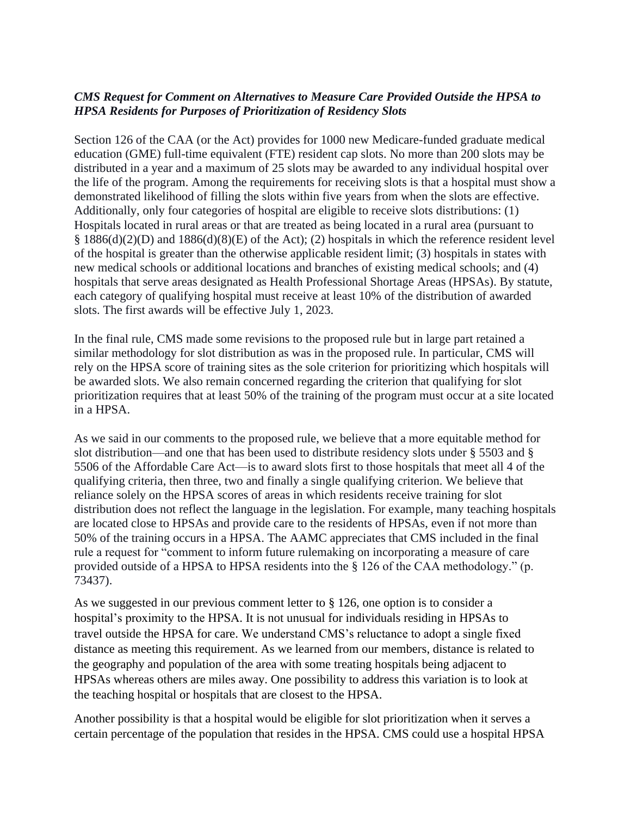#### *CMS Request for Comment on Alternatives to Measure Care Provided Outside the HPSA to HPSA Residents for Purposes of Prioritization of Residency Slots*

Section 126 of the CAA (or the Act) provides for 1000 new Medicare-funded graduate medical education (GME) full-time equivalent (FTE) resident cap slots. No more than 200 slots may be distributed in a year and a maximum of 25 slots may be awarded to any individual hospital over the life of the program. Among the requirements for receiving slots is that a hospital must show a demonstrated likelihood of filling the slots within five years from when the slots are effective. Additionally, only four categories of hospital are eligible to receive slots distributions: (1) Hospitals located in rural areas or that are treated as being located in a rural area (pursuant to § 1886(d)(2)(D) and 1886(d)(8)(E) of the Act); (2) hospitals in which the reference resident level of the hospital is greater than the otherwise applicable resident limit; (3) hospitals in states with new medical schools or additional locations and branches of existing medical schools; and (4) hospitals that serve areas designated as Health Professional Shortage Areas (HPSAs). By statute, each category of qualifying hospital must receive at least 10% of the distribution of awarded slots. The first awards will be effective July 1, 2023.

In the final rule, CMS made some revisions to the proposed rule but in large part retained a similar methodology for slot distribution as was in the proposed rule. In particular, CMS will rely on the HPSA score of training sites as the sole criterion for prioritizing which hospitals will be awarded slots. We also remain concerned regarding the criterion that qualifying for slot prioritization requires that at least 50% of the training of the program must occur at a site located in a HPSA.

As we said in our comments to the proposed rule, we believe that a more equitable method for slot distribution—and one that has been used to distribute residency slots under § 5503 and § 5506 of the Affordable Care Act—is to award slots first to those hospitals that meet all 4 of the qualifying criteria, then three, two and finally a single qualifying criterion. We believe that reliance solely on the HPSA scores of areas in which residents receive training for slot distribution does not reflect the language in the legislation. For example, many teaching hospitals are located close to HPSAs and provide care to the residents of HPSAs, even if not more than 50% of the training occurs in a HPSA. The AAMC appreciates that CMS included in the final rule a request for "comment to inform future rulemaking on incorporating a measure of care provided outside of a HPSA to HPSA residents into the § 126 of the CAA methodology." (p. 73437).

As we suggested in our previous comment letter to § 126, one option is to consider a hospital's proximity to the HPSA. It is not unusual for individuals residing in HPSAs to travel outside the HPSA for care. We understand CMS's reluctance to adopt a single fixed distance as meeting this requirement. As we learned from our members, distance is related to the geography and population of the area with some treating hospitals being adjacent to HPSAs whereas others are miles away. One possibility to address this variation is to look at the teaching hospital or hospitals that are closest to the HPSA.

Another possibility is that a hospital would be eligible for slot prioritization when it serves a certain percentage of the population that resides in the HPSA. CMS could use a hospital HPSA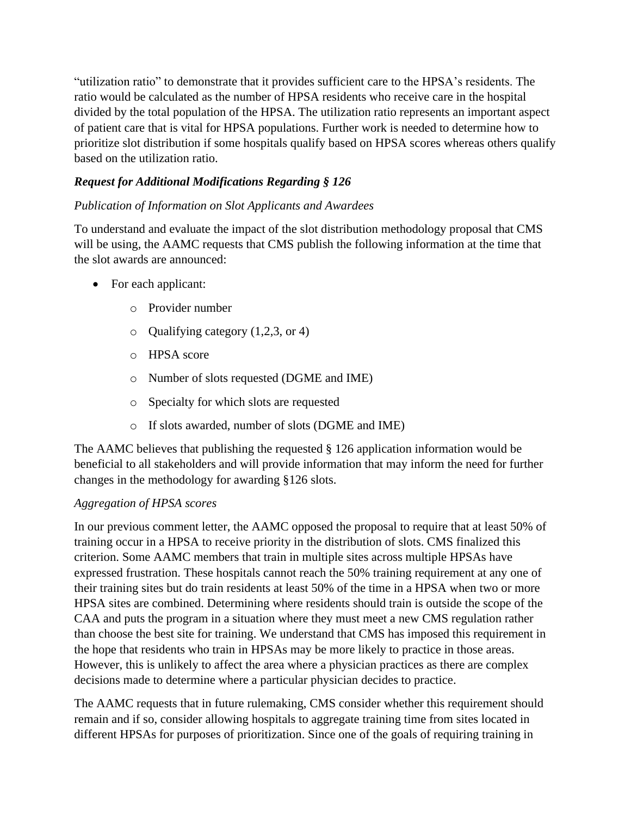"utilization ratio" to demonstrate that it provides sufficient care to the HPSA's residents. The ratio would be calculated as the number of HPSA residents who receive care in the hospital divided by the total population of the HPSA. The utilization ratio represents an important aspect of patient care that is vital for HPSA populations. Further work is needed to determine how to prioritize slot distribution if some hospitals qualify based on HPSA scores whereas others qualify based on the utilization ratio.

## *Request for Additional Modifications Regarding § 126*

## *Publication of Information on Slot Applicants and Awardees*

To understand and evaluate the impact of the slot distribution methodology proposal that CMS will be using, the AAMC requests that CMS publish the following information at the time that the slot awards are announced:

- For each applicant:
	- o Provider number
	- o Qualifying category (1,2,3, or 4)
	- o HPSA score
	- o Number of slots requested (DGME and IME)
	- o Specialty for which slots are requested
	- o If slots awarded, number of slots (DGME and IME)

The AAMC believes that publishing the requested § 126 application information would be beneficial to all stakeholders and will provide information that may inform the need for further changes in the methodology for awarding §126 slots.

### *Aggregation of HPSA scores*

In our previous comment letter, the AAMC opposed the proposal to require that at least 50% of training occur in a HPSA to receive priority in the distribution of slots. CMS finalized this criterion. Some AAMC members that train in multiple sites across multiple HPSAs have expressed frustration. These hospitals cannot reach the 50% training requirement at any one of their training sites but do train residents at least 50% of the time in a HPSA when two or more HPSA sites are combined. Determining where residents should train is outside the scope of the CAA and puts the program in a situation where they must meet a new CMS regulation rather than choose the best site for training. We understand that CMS has imposed this requirement in the hope that residents who train in HPSAs may be more likely to practice in those areas. However, this is unlikely to affect the area where a physician practices as there are complex decisions made to determine where a particular physician decides to practice.

The AAMC requests that in future rulemaking, CMS consider whether this requirement should remain and if so, consider allowing hospitals to aggregate training time from sites located in different HPSAs for purposes of prioritization. Since one of the goals of requiring training in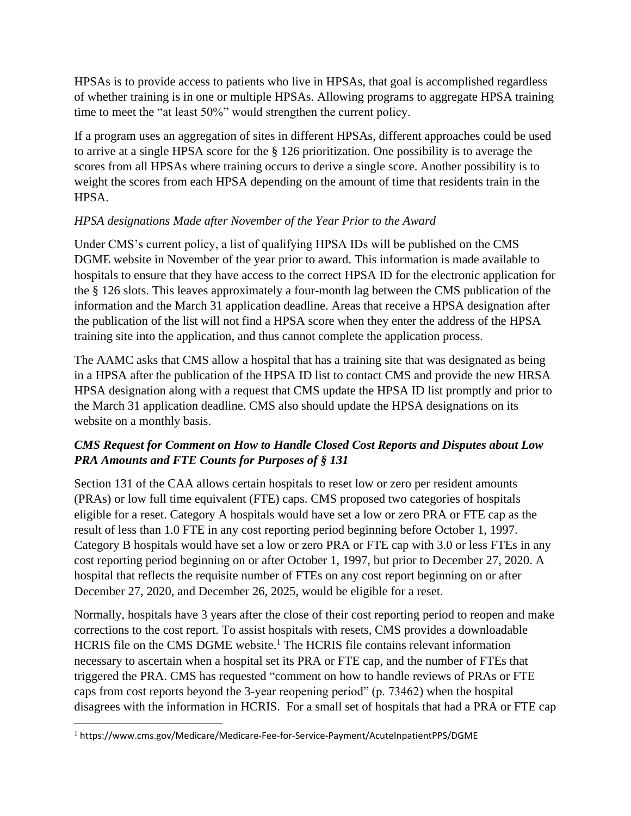HPSAs is to provide access to patients who live in HPSAs, that goal is accomplished regardless of whether training is in one or multiple HPSAs. Allowing programs to aggregate HPSA training time to meet the "at least 50%" would strengthen the current policy.

If a program uses an aggregation of sites in different HPSAs, different approaches could be used to arrive at a single HPSA score for the § 126 prioritization. One possibility is to average the scores from all HPSAs where training occurs to derive a single score. Another possibility is to weight the scores from each HPSA depending on the amount of time that residents train in the HPSA.

## *HPSA designations Made after November of the Year Prior to the Award*

Under CMS's current policy, a list of qualifying HPSA IDs will be published on the CMS DGME website in November of the year prior to award. This information is made available to hospitals to ensure that they have access to the correct HPSA ID for the electronic application for the § 126 slots. This leaves approximately a four-month lag between the CMS publication of the information and the March 31 application deadline. Areas that receive a HPSA designation after the publication of the list will not find a HPSA score when they enter the address of the HPSA training site into the application, and thus cannot complete the application process.

The AAMC asks that CMS allow a hospital that has a training site that was designated as being in a HPSA after the publication of the HPSA ID list to contact CMS and provide the new HRSA HPSA designation along with a request that CMS update the HPSA ID list promptly and prior to the March 31 application deadline. CMS also should update the HPSA designations on its website on a monthly basis.

# *CMS Request for Comment on How to Handle Closed Cost Reports and Disputes about Low PRA Amounts and FTE Counts for Purposes of § 131*

Section 131 of the CAA allows certain hospitals to reset low or zero per resident amounts (PRAs) or low full time equivalent (FTE) caps. CMS proposed two categories of hospitals eligible for a reset. Category A hospitals would have set a low or zero PRA or FTE cap as the result of less than 1.0 FTE in any cost reporting period beginning before October 1, 1997. Category B hospitals would have set a low or zero PRA or FTE cap with 3.0 or less FTEs in any cost reporting period beginning on or after October 1, 1997, but prior to December 27, 2020. A hospital that reflects the requisite number of FTEs on any cost report beginning on or after December 27, 2020, and December 26, 2025, would be eligible for a reset.

Normally, hospitals have 3 years after the close of their cost reporting period to reopen and make corrections to the cost report. To assist hospitals with resets, CMS provides a downloadable HCRIS file on the CMS DGME website. <sup>1</sup> The HCRIS file contains relevant information necessary to ascertain when a hospital set its PRA or FTE cap, and the number of FTEs that triggered the PRA. CMS has requested "comment on how to handle reviews of PRAs or FTE caps from cost reports beyond the 3-year reopening period" (p. 73462) when the hospital disagrees with the information in HCRIS. For a small set of hospitals that had a PRA or FTE cap

<sup>1</sup> https://www.cms.gov/Medicare/Medicare-Fee-for-Service-Payment/AcuteInpatientPPS/DGME